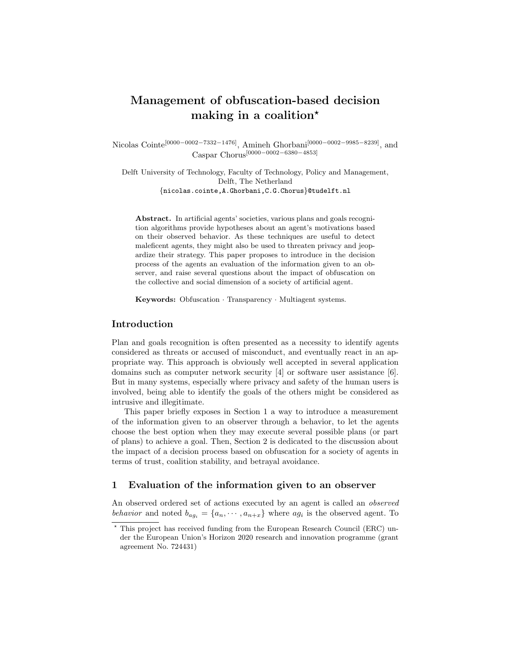# Management of obfuscation-based decision making in a coalition<sup>\*</sup>

Nicolas Cointe<sup>[0000–0002–7332–1476]</sup>, Amineh Ghorbani<sup>[0000–0002–9985–8239]</sup>, and Caspar Chorus[0000−0002−6380−4853]

Delft University of Technology, Faculty of Technology, Policy and Management, Delft, The Netherland {nicolas.cointe,A.Ghorbani,C.G.Chorus}@tudelft.nl

Abstract. In artificial agents' societies, various plans and goals recognition algorithms provide hypotheses about an agent's motivations based on their observed behavior. As these techniques are useful to detect maleficent agents, they might also be used to threaten privacy and jeopardize their strategy. This paper proposes to introduce in the decision process of the agents an evaluation of the information given to an observer, and raise several questions about the impact of obfuscation on the collective and social dimension of a society of artificial agent.

Keywords: Obfuscation · Transparency · Multiagent systems.

# Introduction

Plan and goals recognition is often presented as a necessity to identify agents considered as threats or accused of misconduct, and eventually react in an appropriate way. This approach is obviously well accepted in several application domains such as computer network security [\[4\]](#page-3-0) or software user assistance [\[6\]](#page-3-1). But in many systems, especially where privacy and safety of the human users is involved, being able to identify the goals of the others might be considered as intrusive and illegitimate.

This paper briefly exposes in Section [1](#page-0-0) a way to introduce a measurement of the information given to an observer through a behavior, to let the agents choose the best option when they may execute several possible plans (or part of plans) to achieve a goal. Then, Section [2](#page-2-0) is dedicated to the discussion about the impact of a decision process based on obfuscation for a society of agents in terms of trust, coalition stability, and betrayal avoidance.

# <span id="page-0-0"></span>1 Evaluation of the information given to an observer

An observed ordered set of actions executed by an agent is called an observed behavior and noted  $b_{ag_i} = \{a_n, \dots, a_{n+x}\}\$  where  $ag_i$  is the observed agent. To

<sup>?</sup> This project has received funding from the European Research Council (ERC) under the European Union's Horizon 2020 research and innovation programme (grant agreement No. 724431)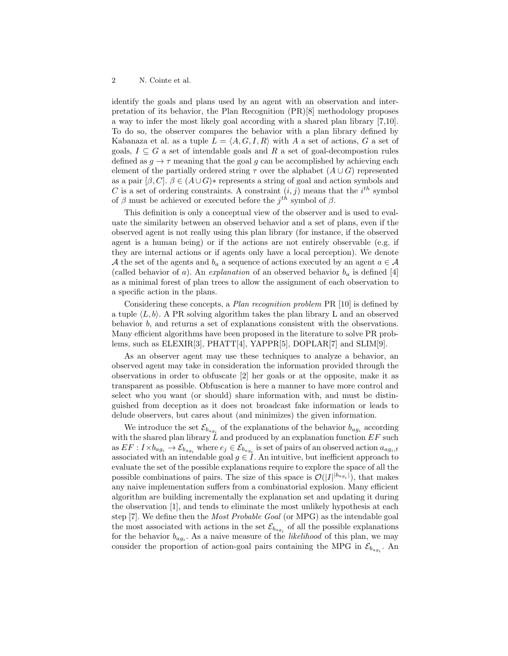#### 2 N. Cointe et al.

identify the goals and plans used by an agent with an observation and interpretation of its behavior, the Plan Recognition (PR)[\[8\]](#page-3-2) methodology proposes a way to infer the most likely goal according with a shared plan library [\[7,](#page-3-3)[10\]](#page-3-4). To do so, the observer compares the behavior with a plan library defined by Kabanaza et al. as a tuple  $L = \langle A, G, I, R \rangle$  with A a set of actions, G a set of goals,  $I \subseteq G$  a set of intendable goals and R a set of goal-decompostion rules defined as  $q \to \tau$  meaning that the goal q can be accomplished by achieving each element of the partially ordered string  $\tau$  over the alphabet  $(A \cup G)$  represented as a pair  $[\beta, C]$ .  $\beta \in (A \cup G)*$  represents a string of goal and action symbols and C is a set of ordering constraints. A constraint  $(i, j)$  means that the  $i<sup>th</sup>$  symbol of  $\beta$  must be achieved or executed before the  $j<sup>th</sup>$  symbol of  $\beta$ .

This definition is only a conceptual view of the observer and is used to evaluate the similarity between an observed behavior and a set of plans, even if the observed agent is not really using this plan library (for instance, if the observed agent is a human being) or if the actions are not entirely observable (e.g. if they are internal actions or if agents only have a local perception). We denote A the set of the agents and  $b_a$  a sequence of actions executed by an agent  $a \in \mathcal{A}$ (called behavior of a). An *explanation* of an observed behavior  $b_a$  is defined [\[4\]](#page-3-0) as a minimal forest of plan trees to allow the assignment of each observation to a specific action in the plans.

Considering these concepts, a Plan recognition problem PR [\[10\]](#page-3-4) is defined by a tuple  $\langle L, b \rangle$ . A PR solving algorithm takes the plan library L and an observed behavior b, and returns a set of explanations consistent with the observations. Many efficient algorithms have been proposed in the literature to solve PR problems, such as ELEXIR[\[3\]](#page-3-5), PHATT[\[4\]](#page-3-0), YAPPR[\[5\]](#page-3-6), DOPLAR[\[7\]](#page-3-3) and SLIM[\[9\]](#page-3-7).

As an observer agent may use these techniques to analyze a behavior, an observed agent may take in consideration the information provided through the observations in order to obfuscate [\[2\]](#page-3-8) her goals or at the opposite, make it as transparent as possible. Obfuscation is here a manner to have more control and select who you want (or should) share information with, and must be distinguished from deception as it does not broadcast fake information or leads to delude observers, but cares about (and minimizes) the given information.

We introduce the set  $\mathcal{E}_{b_{agg}}$  of the explanations of the behavior  $b_{agg}$  according with the shared plan library  $\tilde{L}$  and produced by an explanation function  $EF$  such as  $EF: I \times b_{ag_i} \to \mathcal{E}_{b_{ag_i}}$  where  $e_j \in \mathcal{E}_{b_{ag_i}}$  is set of pairs of an observed action  $a_{ag_i,t}$ associated with an intendable goal  $g \in I$ . An intuitive, but inefficient approach to evaluate the set of the possible explanations require to explore the space of all the possible combinations of pairs. The size of this space is  $\mathcal{O}(|I|^{|b_{ag_i}|})$ , that makes any naive implementation suffers from a combinatorial explosion. Many efficient algorithm are building incrementally the explanation set and updating it during the observation [\[1\]](#page-3-9), and tends to eliminate the most unlikely hypothesis at each step [\[7\]](#page-3-3). We define then the Most Probable Goal (or MPG) as the intendable goal the most associated with actions in the set  $\mathcal{E}_{b_{agg}}$  of all the possible explanations for the behavior  $b_{ag_i}$ . As a naive measure of the *likelihood* of this plan, we may consider the proportion of action-goal pairs containing the MPG in  $\mathcal{E}_{b_{ag_i}}$ . An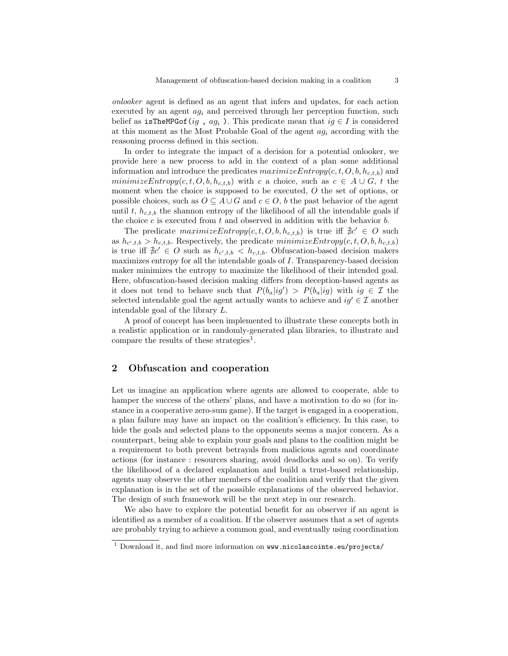onlooker agent is defined as an agent that infers and updates, for each action executed by an agent  $a_i$  and perceived through her perception function, such belief as isTheMPGof(ig,  $ag_i$ ). This predicate mean that  $ig \in I$  is considered at this moment as the Most Probable Goal of the agent  $a g_i$  according with the reasoning process defined in this section.

In order to integrate the impact of a decision for a potential onlooker, we provide here a new process to add in the context of a plan some additional information and introduce the predicates  $maximizeEntropy(c, t, O, b, h_{c,t,b})$  and minimizeEntropy $(c, t, O, b, h_{c,t,b})$  with c a choice, such as  $c \in A \cup G$ , t the moment when the choice is supposed to be executed, O the set of options, or possible choices, such as  $O \subseteq A \cup G$  and  $c \in O$ , b the past behavior of the agent until t,  $h_{c,t,b}$  the shannon entropy of the likelihood of all the intendable goals if the choice  $c$  is executed from  $t$  and observed in addition with the behavior  $b$ .

The predicate  $\text{maximize} \text{Entropy}(c, t, O, b, h_{c,t,b})$  is true iff  $\exists c' \in O$  such as  $h_{c',t,b} > h_{c,t,b}$ . Respectively, the predicate  $minimizeEntropy(c, t, O, b, h_{c,t,b})$ is true iff  $\sharp c' \in O$  such as  $h_{c',t,b} < h_{c,t,b}$ . Obfuscation-based decision makers maximizes entropy for all the intendable goals of I. Transparency-based decision maker minimizes the entropy to maximize the likelihood of their intended goal. Here, obfuscation-based decision making differs from deception-based agents as it does not tend to behave such that  $P(b_a|ig') > P(b_a|ig)$  with  $ig \in \mathcal{I}$  the selected intendable goal the agent actually wants to achieve and  $ig' \in \mathcal{I}$  another intendable goal of the library L.

A proof of concept has been implemented to illustrate these concepts both in a realistic application or in randomly-generated plan libraries, to illustrate and compare the results of these strategies<sup>[1](#page-2-1)</sup>.

## <span id="page-2-0"></span>2 Obfuscation and cooperation

Let us imagine an application where agents are allowed to cooperate, able to hamper the success of the others' plans, and have a motivation to do so (for instance in a cooperative zero-sum game). If the target is engaged in a cooperation, a plan failure may have an impact on the coalition's efficiency. In this case, to hide the goals and selected plans to the opponents seems a major concern. As a counterpart, being able to explain your goals and plans to the coalition might be a requirement to both prevent betrayals from malicious agents and coordinate actions (for instance : resources sharing, avoid deadlocks and so on). To verify the likelihood of a declared explanation and build a trust-based relationship, agents may observe the other members of the coalition and verify that the given explanation is in the set of the possible explanations of the observed behavior. The design of such framework will be the next step in our research.

We also have to explore the potential benefit for an observer if an agent is identified as a member of a coalition. If the observer assumes that a set of agents are probably trying to achieve a common goal, and eventually using coordination

<span id="page-2-1"></span><sup>&</sup>lt;sup>1</sup> Download it, and find more information on <www.nicolascointe.eu/projects/>